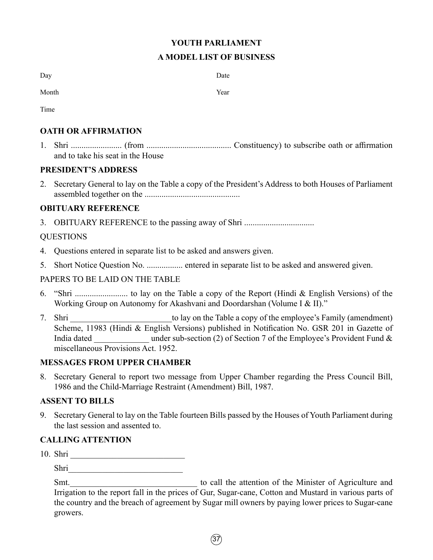# **YOUTH PARLIAMENT A MODEL LIST OF BUSINESS**

| Day   | Date |
|-------|------|
| Month | Year |

Time

# **OATH OR AFFIRMATION**

1. Shri ........................ (from ........................................ Constituency) to subscribe oath or affirmation and to take his seat in the House

# **PRESIDENT'S ADDRESS**

2. Secretary General to lay on the Table a copy of the President's Address to both Houses of Parliament assembled together on the .............................................

# **OBITUARY REFERENCE**

3. OBITUARY REFERENCE to the passing away of Shri ...............................

# QUESTIONS

- 4. Questions entered in separate list to be asked and answers given.
- 5. Short Notice Question No. ................. entered in separate list to be asked and answered given.

# PAPERS TO BE LAID ON THE TABLE

- 6. "Shri ......................... to lay on the Table a copy of the Report (Hindi & English Versions) of the Working Group on Autonomy for Akashvani and Doordarshan (Volume I & II)."
- 7. Shri to lay on the Table a copy of the employee's Family (amendment) Scheme, 11983 (Hindi & English Versions) published in Notification No. GSR 201 in Gazette of India dated under sub-section (2) of Section 7 of the Employee's Provident Fund & miscellaneous Provisions Act. 1952.

# **MESSAGES FROM UPPER CHAMBER**

8. Secretary General to report two message from Upper Chamber regarding the Press Council Bill, 1986 and the Child-Marriage Restraint (Amendment) Bill, 1987.

# **ASSENT TO BILLS**

9. Secretary General to lay on the Table fourteen Bills passed by the Houses of Youth Parliament during the last session and assented to.

# **CALLING ATTENTION**

10. Shri

Shri

Smt.\_\_\_\_\_\_\_\_\_\_\_\_\_\_\_\_\_\_\_\_\_\_\_\_\_\_\_\_\_\_ to call the attention of the Minister of Agriculture and Irrigation to the report fall in the prices of Gur, Sugar-cane, Cotton and Mustard in various parts of the country and the breach of agreement by Sugar mill owners by paying lower prices to Sugar-cane growers.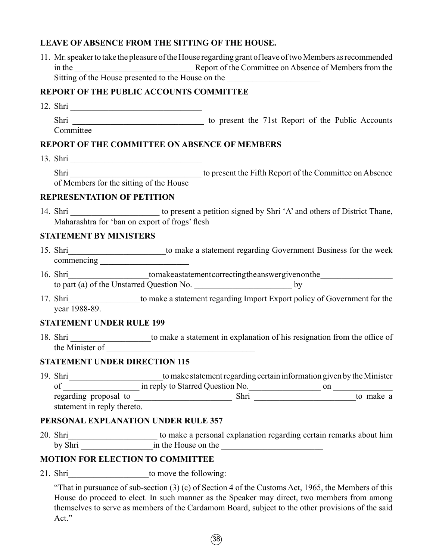## **LEAVE OF ABSENCE FROM THE SITTING OF THE HOUSE.**

11. Mr. speaker to take the pleasure of the House regarding grant of leave of two Members as recommended in the \_\_\_\_\_\_\_\_\_\_\_\_\_\_\_\_\_\_\_\_\_\_\_\_\_\_\_\_ Report of the Committee on Absence of Members from the Sitting of the House presented to the House on the

### **REPORT OF THE PUBLIC ACCOUNTS COMMITTEE**

12. Shri \_\_\_\_\_\_\_\_\_\_\_\_\_\_\_\_\_\_\_\_\_\_\_\_\_\_\_\_\_\_\_

Shri to present the 71st Report of the Public Accounts Committee

#### **REPORT OF THE COMMITTEE ON ABSENCE OF MEMBERS**

13. Shri \_\_\_\_\_\_\_\_\_\_\_\_\_\_\_\_\_\_\_\_\_\_\_\_\_\_\_\_\_\_\_

Shri \_\_\_\_\_\_\_\_\_\_\_\_\_\_\_\_\_\_\_\_\_\_\_\_\_\_\_\_\_\_\_ to present the Fifth Report of the Committee on Absence of Members for the sitting of the House

#### **REPRESENTATION OF PETITION**

14. Shri \_\_\_\_\_\_\_\_\_\_\_\_\_\_\_\_\_\_\_\_\_\_\_ to present a petition signed by Shri 'A' and others of District Thane, Maharashtra for 'ban on export of frogs' flesh

#### **STATEMENT BY MINISTERS**

- 15. Shri to make a statement regarding Government Business for the week commencing \_\_\_\_\_\_\_\_\_\_\_\_\_\_\_\_\_\_\_\_\_
- 16. Shri to make a statement correcting the answer given on the  $\frac{1}{2}$ to part (a) of the Unstarred Question No. \_\_\_\_\_\_\_\_\_\_\_\_\_\_\_\_\_\_\_\_\_\_\_ by
- 17. Shri\_\_\_\_\_\_\_\_\_\_\_\_\_\_\_\_\_to make a statement regarding Import Export policy of Government for the year 1988-89.

#### **STATEMENT UNDER RULE 199**

18. Shri \_\_\_\_\_\_\_\_\_\_\_\_\_\_\_\_\_\_\_\_to make a statement in explanation of his resignation from the office of the Minister of \_\_\_\_\_\_\_\_\_\_\_\_\_\_\_\_\_\_\_\_\_\_\_\_\_\_\_\_\_\_\_\_\_\_\_

### **STATEMENT UNDER DIRECTION 115**

19. Shri \_\_\_\_\_\_\_\_\_\_\_\_\_\_\_\_\_\_\_\_\_\_to make statement regarding certain information given by the Minister of \_\_\_\_\_\_\_\_\_\_\_\_\_\_\_\_\_\_ in reply to Starred Question No.\_\_\_\_\_\_\_\_\_\_\_\_\_\_\_\_\_ on \_\_\_\_\_\_\_\_\_\_\_\_\_\_ regarding proposal to \_\_\_\_\_\_\_\_\_\_\_\_\_\_\_\_\_\_\_\_\_\_\_ Shri \_\_\_\_\_\_\_\_\_\_\_\_\_\_\_\_\_\_\_\_\_\_\_\_to make a statement in reply thereto.

## **PERSONAL EXPLANATION UNDER RULE 357**

20. Shri\_\_\_\_\_\_\_\_\_\_\_\_\_\_\_\_\_\_\_\_\_ to make a personal explanation regarding certain remarks about him by Shri \_\_\_\_\_\_\_\_\_\_\_\_\_\_\_\_\_in the House on the \_\_\_\_\_\_\_\_\_\_\_\_\_\_\_\_\_\_\_\_\_\_\_\_

### **MOTION FOR ELECTION TO COMMITTEE**

21. Shri to move the following:

"That in pursuance of sub-section (3) (c) of Section 4 of the Customs Act, 1965, the Members of this House do proceed to elect. In such manner as the Speaker may direct, two members from among themselves to serve as members of the Cardamom Board, subject to the other provisions of the said Act."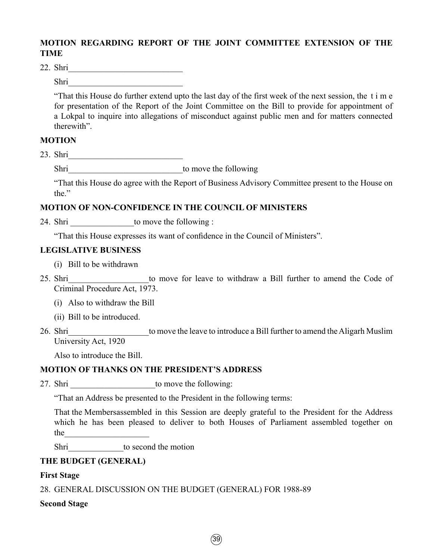# **MOTION REGARDING REPORT OF THE JOINT COMMITTEE EXTENSION OF THE TIME**

22. Shri

Shri\_\_\_\_\_\_\_\_\_\_\_\_\_\_\_\_\_\_\_\_\_\_\_\_\_\_\_

"That this House do further extend upto the last day of the first week of the next session, the t i m e for presentation of the Report of the Joint Committee on the Bill to provide for appointment of a Lokpal to inquire into allegations of misconduct against public men and for matters connected therewith".

## **MOTION**

23. Shri\_\_\_\_\_\_\_\_\_\_\_\_\_\_\_\_\_\_\_\_\_\_\_\_\_\_\_

Shri\_\_\_\_\_\_\_\_\_\_\_\_\_\_\_\_\_\_\_\_\_\_\_\_\_\_\_to move the following

"That this House do agree with the Report of Business Advisory Committee present to the House on the."

### **MOTION OF NON-CONFIDENCE IN THE COUNCIL OF MINISTERS**

24. Shri to move the following :

"That this House expresses its want of confidence in the Council of Ministers".

### **LEGISLATIVE BUSINESS**

- (i) Bill to be withdrawn
- 

25. Shri entertainty to move for leave to withdraw a Bill further to amend the Code of Criminal Procedure Act, 1973.

- (i) Also to withdraw the Bill
- (ii) Bill to be introduced.
- 26. Shri to move the leave to introduce a Bill further to amend the Aligarh Muslim University Act, 1920

Also to introduce the Bill.

## **MOTION OF THANKS ON THE PRESIDENT'S ADDRESS**

27. Shri to move the following:

"That an Address be presented to the President in the following terms:

That the Membersassembled in this Session are deeply grateful to the President for the Address which he has been pleased to deliver to both Houses of Parliament assembled together on the

Shri \_\_\_\_\_\_\_\_\_\_\_\_\_to second the motion

### **THE BUDGET (GENERAL)**

### **First Stage**

28. GENERAL DISCUSSION ON THE BUDGET (GENERAL) FOR 1988-89

### **Second Stage**

 $\sqrt{39}$